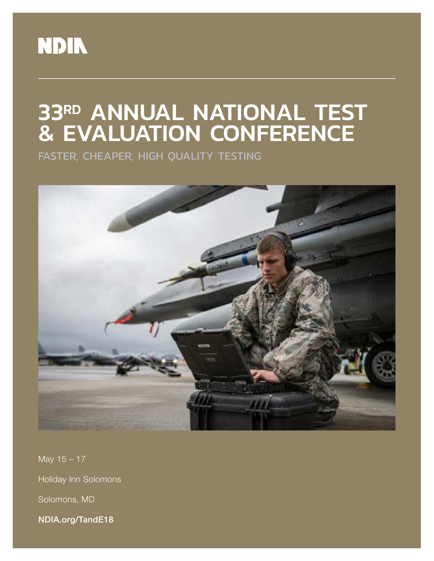

# 33RD ANNUAL NATIONAL TEST & EVALUATION CONFERENCE

FASTER, CHEAPER, HIGH QUALITY TESTING



May 15 – 17 Holiday Inn Solomons Solomons, MD NDIA.org/TandE18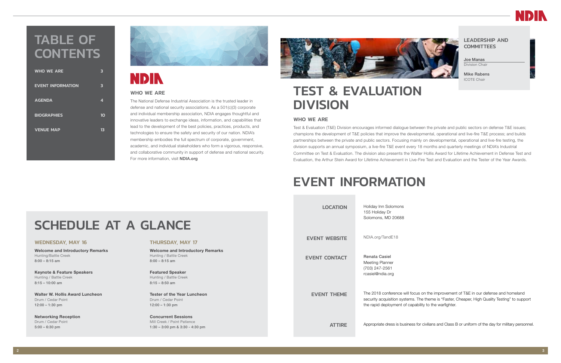### LEADERSHIP AND **COMMITTEES**

Joe Manas Division Chair

Mike Rabens ICOTE Chair

on the improvement of T&E in our defense and homeland he theme is "Faster, Cheaper, High Quality Testing" to support ility to the warfighter.

or civilians and Class B or uniform of the day for military personnel.

# TEST & EVALUATION DIVISION

### WHO WE ARE

The National Defense Industrial Association is the trusted leader in defense and national security associations. As a 501(c)(3) corporate and individual membership association, NDIA engages thoughtful and innovative leaders to exchange ideas, information, and capabilities that lead to the development of the best policies, practices, products, and technologies to ensure the safety and security of our nation. NDIA's membership embodies the full spectrum of corporate, government, academic, and individual stakeholders who form a vigorous, responsive, and collaborative community in support of defense and national security. For more information, visit **NDIA.org** 



Test & Evaluation (T&E) Division encourages informed dialogue between the private and public sectors on defense T&E issues; champions the development of T&E policies that improve the developmental, operational and live-fire T&E process; and builds partnerships between the private and public sectors. Focusing mainly on developmental, operational and live-fire testing, the division supports an annual symposium, a live-fire T&E event every 18 months and quarterly meetings of NDIA's Industrial Committee on Test & Evaluation. The division also presents the Walter Hollis Award for Lifetime Achievement in Defense Test and Evaluation, the Arthur Stein Award for Lifetime Achievement in Live-Fire Test and Evaluation and the Tester of the Year Awards.

# TABLE OF **CONTENTS**

### WHO WE ARE

| <b>WHO WE ARE</b>        | В  |
|--------------------------|----|
| <b>EVENT INFORMATION</b> | 3  |
| <b>AGENDA</b>            | 4  |
| <b>BIOGRAPHIES</b>       | 10 |
| <b>VENUE MAP</b>         | 13 |
|                          |    |



# **NDIN**

| SCHEDULE AT A GLANCE                                                                                                                                   |                                                                                                                                            | <b>LOCATION</b>      | Holiday Inn Solomons<br>155 Holiday Dr<br>Solomons, MD 20688                                         |
|--------------------------------------------------------------------------------------------------------------------------------------------------------|--------------------------------------------------------------------------------------------------------------------------------------------|----------------------|------------------------------------------------------------------------------------------------------|
| <b>WEDNESDAY, MAY 16</b>                                                                                                                               | <b>THURSDAY, MAY 17</b>                                                                                                                    | <b>EVENT WEBSITE</b> | NDIA.org/TandE18                                                                                     |
| <b>Welcome and Introductory Remarks</b><br>Hunting/Battle Creek<br>$8:00 - 8:15$ am<br><b>Keynote &amp; Feature Speakers</b><br>Hunting / Battle Creek | <b>Welcome and Introductory Remarks</b><br>Hunting / Battle Creek<br>$8:00 - 8:15$ am<br><b>Featured Speaker</b><br>Hunting / Battle Creek | <b>EVENT CONTACT</b> | <b>Renata Casiel</b><br>Meeting Planner<br>(703) 247-2561<br>rcasiel@ndia.org                        |
| $8:15 - 10:00$ am<br>Walter W. Hollis Award Luncheon<br>Drum / Cedar Point<br>$12:00 - 1:30$ pm                                                        | $8:15 - 8:50$ am<br><b>Tester of the Year Luncheon</b><br>Drum / Cedar Point<br>$12:00 - 1:30$ pm                                          | <b>EVENT THEME</b>   | The 2018 conference will focus<br>security acquisition systems. Th<br>the rapid deployment of capabi |
| <b>Networking Reception</b><br>Drum / Cedar Point<br>$5:00 - 6:30$ pm                                                                                  | <b>Concurrent Sessions</b><br>Mill Creek / Point Patience<br>$1:30 - 3:00$ pm & $3:30 - 4:30$ pm                                           | <b>ATTIRE</b>        | Appropriate dress is business fo                                                                     |

### $2$



# EVENT INFORMATION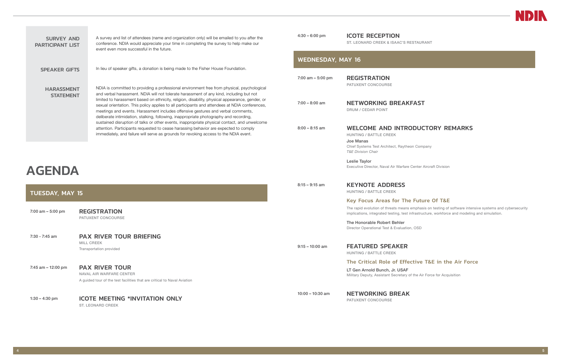# AGENDA

| <b>TUESDAY, MAY 15</b> |                                                                                                                               |  |  |
|------------------------|-------------------------------------------------------------------------------------------------------------------------------|--|--|
| 7:00 am $-$ 5:00 pm    | <b>REGISTRATION</b><br><b>PATUXENT CONCOURSE</b>                                                                              |  |  |
| $7:30 - 7:45$ am       | <b>PAX RIVER TOUR BRIEFING</b><br><b>MILL CREEK</b><br>Transportation provided                                                |  |  |
| 7:45 am $-$ 12:00 pm   | <b>PAX RIVER TOUR</b><br>NAVAL AIR WARFARE CENTER<br>A guided tour of the test facilities that are critical to Naval Aviation |  |  |
|                        |                                                                                                                               |  |  |

1:30 – 4:30 pm ICOTE MEETING \*INVITATION ONLY ST. LEONARD CREEK

<span id="page-2-0"></span>

| <b>SURVEY AND</b><br><b>PARTICIPANT LIST</b> | A survey and list of attendees (name and organization only) will be emailed to you after the<br>conference. NDIA would appreciate your time in completing the survey to help make our<br>event even more successful in the future.                                                                                                                                                                                                                                                                                                                                        | $4:30 - 6:00$ pm         | <b>ICOTE RECEPTION</b><br>ST. LEONARD CREEK & ISAAC'S RESTAUR             |
|----------------------------------------------|---------------------------------------------------------------------------------------------------------------------------------------------------------------------------------------------------------------------------------------------------------------------------------------------------------------------------------------------------------------------------------------------------------------------------------------------------------------------------------------------------------------------------------------------------------------------------|--------------------------|---------------------------------------------------------------------------|
| <b>SPEAKER GIFTS</b>                         | In lieu of speaker gifts, a donation is being made to the Fisher House Foundation.                                                                                                                                                                                                                                                                                                                                                                                                                                                                                        | <b>WEDNESDAY, MAY 16</b> |                                                                           |
|                                              |                                                                                                                                                                                                                                                                                                                                                                                                                                                                                                                                                                           | $7:00$ am $-5:00$ pm     | <b>REGISTRATION</b><br>PATUXENT CONCOURSE                                 |
| <b>HARASSMENT</b><br><b>STATEMENT</b>        | NDIA is committed to providing a professional environment free from physical, psychological<br>and verbal harassment. NDIA will not tolerate harassment of any kind, including but not<br>limited to harassment based on ethnicity, religion, disability, physical appearance, gender, or<br>sexual orientation. This policy applies to all participants and attendees at NDIA conferences,<br>meetings and events. Harassment includes offensive gestures and verbal comments,<br>deliberate intimidation, stalking, following, inappropriate photography and recording, | $7:00 - 8:00$ am         | <b>NETWORKING BREAKFAST</b><br>DRUM / CEDAR POINT                         |
|                                              | sustained disruption of talks or other events, inappropriate physical contact, and unwelcome<br>attention. Participants requested to cease harassing behavior are expected to comply<br>immediately, and failure will serve as grounds for revoking access to the NDIA event.                                                                                                                                                                                                                                                                                             | $8:00 - 8:15$ am         | <b>WELCOME AND INTRODUC</b><br><b>HUNTING / BATTLE CREEK</b><br>Joe Manas |

Chief Systems Test Architect, Raytheon Company

*T&E Division Chair*

Leslie Taylor

8:15 – 9:15 am **KEYNOTE ADDRESS** 

Executive Director, Naval Air Warfare Center Aircraft Division

HUNTING / BATTLE CREEK Key Focus Areas for The Future Of T&E

The rapid evolution of threats means emphasis on testing of software intensive systems and cybersecurity implications, integrated testing, test infrastructure, workforce and modeling and simulation.

The Honorable Robert Behler Director Operational Test & Evaluation, OSD

9:15 – 10:00 am **FEATURED SPEAKER** 

HUNTING / BATTLE CREEK

### The Critical Role of Effective T&E in the Air Force

LT Gen Arnold Bunch, Jr. USAF Military Deputy, Assistant Secretary of the Air Force for Acquisition

10:00 - 10:30 am **NETWORKING BREAK** 



**STAURANT** 

## **DUCTORY REMARKS**

PATUXENT CONCOURSE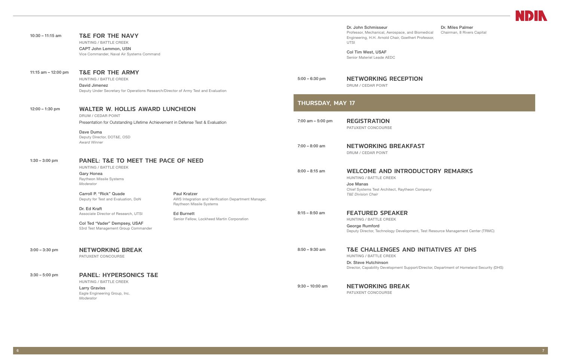| $10:30 - 11:15$ am  | <b>T&amp;E FOR THE NAVY</b><br><b>HUNTING / BATTLE CREEK</b><br><b>CAPT John Lemmon, USN</b><br>Vice Commander, Naval Air Systems Command                                                       |                                                                                                                                                                            |                     | Dr. John Schmisseur<br>Professor, Mechanical, Aerospace, and Biomedical<br>Engineering, H.H. Arnold Chair, Goethert Professor,<br><b>UTSI</b><br>Col Tim West, USAF<br>Senior Materiel Leade AEDC | Dr. Miles Palmer<br>Chairman, 8 Rivers Capital |
|---------------------|-------------------------------------------------------------------------------------------------------------------------------------------------------------------------------------------------|----------------------------------------------------------------------------------------------------------------------------------------------------------------------------|---------------------|---------------------------------------------------------------------------------------------------------------------------------------------------------------------------------------------------|------------------------------------------------|
| 11:15 am - 12:00 pm | <b>T&amp;E FOR THE ARMY</b><br><b>HUNTING / BATTLE CREEK</b><br>David Jimenez<br>Deputy Under Secretary for Operations Research/Director of Army Test and Evaluation                            |                                                                                                                                                                            | $5:00 - 6:30$ pm    | <b>NETWORKING RECEPTION</b><br><b>DRUM / CEDAR POINT</b>                                                                                                                                          |                                                |
| $12:00 - 1:30$ pm   | <b>WALTER W. HOLLIS AWARD LUNCHEON</b>                                                                                                                                                          |                                                                                                                                                                            | THURSDAY, MAY 17    |                                                                                                                                                                                                   |                                                |
|                     | <b>DRUM / CEDAR POINT</b><br>Presentation for Outstanding Lifetime Achievement in Defense Test & Evaluation                                                                                     |                                                                                                                                                                            | 7:00 am $-$ 5:00 pm | <b>REGISTRATION</b><br>PATUXENT CONCOURSE                                                                                                                                                         |                                                |
|                     | Dave Duma<br>Deputy Director, DOT&E, OSD<br><b>Award Winner</b>                                                                                                                                 |                                                                                                                                                                            | $7:00 - 8:00$ am    | <b>NETWORKING BREAKFAST</b><br><b>DRUM / CEDAR POINT</b>                                                                                                                                          |                                                |
| $1:30 - 3:00$ pm    | <b>PANEL: T&amp;E TO MEET THE PACE OF NEED</b><br><b>HUNTING / BATTLE CREEK</b><br><b>Gary Honea</b><br>Raytheon Missile Systems<br>Moderator                                                   |                                                                                                                                                                            | $8:00 - 8:15$ am    | <b>WELCOME AND INTRODUCTORY REMARKS</b><br><b>HUNTING / BATTLE CREEK</b><br>Joe Manas<br>Chief Systems Test Architect, Raytheon Company                                                           |                                                |
|                     | Carroll P. "Rick" Quade<br>Deputy for Test and Evaluation, DoN<br>Dr. Ed Kraft<br>Associate Director of Research, UTSI<br>Col Ted "Vader" Dempsey, USAF<br>53rd Test Management Group Commander | <b>Paul Kratzer</b><br>AWS Integration and Verification Department Manager,<br>Raytheon Missile Systems<br><b>Ed Burnett</b><br>Senior Fellow, Lockheed Martin Corporation | $8:15 - 8:50$ am    | <b>T&amp;E Division Chair</b><br><b>FEATURED SPEAKER</b><br><b>HUNTING / BATTLE CREEK</b><br>George Rumford<br>Deputy Director, Technology Development, Test Resource Management Center (TI       |                                                |
| $3:00 - 3:30$ pm    | <b>NETWORKING BREAK</b><br>PATUXENT CONCOURSE                                                                                                                                                   |                                                                                                                                                                            | $8:50 - 9:30$ am    | <b>T&amp;E CHALLENGES AND INITIATIVES AT DHS</b><br><b>HUNTING / BATTLE CREEK</b><br>Dr. Steve Hutchinson<br>Director, Capability Development Support/Director, Department of Homeland Secu       |                                                |
| $3:30 - 5:00$ pm    | <b>PANEL: HYPERSONICS T&amp;E</b><br><b>HUNTING / BATTLE CREEK</b><br><b>Larry Graviss</b><br>Eagle Engineering Group, Inc.<br>Moderator                                                        |                                                                                                                                                                            | $9:30 - 10:00$ am   | <b>NETWORKING BREAK</b><br><b>PATUXENT CONCOURSE</b>                                                                                                                                              |                                                |



## $FAST$

## ODUCTORY REMARKS

ment, Test Resource Management Center (TRMC)

## **ID INITIATIVES AT DHS**

pport/Director, Department of Homeland Security (DHS)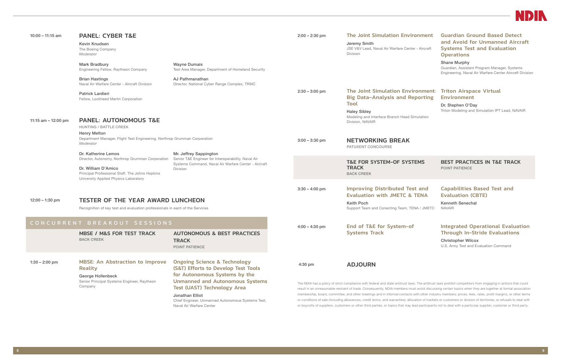

| $10:00 - 11:15$ am           | <b>PANEL: CYBER T&amp;E</b><br>Kevin Knudsen<br>The Boeing Company<br>Moderator                                                                                                            |                                                                                                                                                                                  | $2:00 - 2:30$ pm                                                                                                                                                                                                                                                                                                                                                                                                                                                                                                                                                                                                                                                                                                                                                                                                                      | <b>The Joint Simulation Environment</b><br>Jeremy Smith<br>JSE V&V Lead, Naval Air Warfare Center - Aircraft<br><b>Division</b>                        | <b>Guardian Ground Based Detect</b><br>and Avoid for Unmanned Aircraft<br><b>Systems Test and Evaluation</b><br><b>Operations</b> |
|------------------------------|--------------------------------------------------------------------------------------------------------------------------------------------------------------------------------------------|----------------------------------------------------------------------------------------------------------------------------------------------------------------------------------|---------------------------------------------------------------------------------------------------------------------------------------------------------------------------------------------------------------------------------------------------------------------------------------------------------------------------------------------------------------------------------------------------------------------------------------------------------------------------------------------------------------------------------------------------------------------------------------------------------------------------------------------------------------------------------------------------------------------------------------------------------------------------------------------------------------------------------------|--------------------------------------------------------------------------------------------------------------------------------------------------------|-----------------------------------------------------------------------------------------------------------------------------------|
|                              | <b>Mark Bradbury</b><br>Engineering Fellow, Raytheon Company                                                                                                                               | <b>Wayne Dumais</b><br>Test Area Manager, Department of Homeland Security                                                                                                        |                                                                                                                                                                                                                                                                                                                                                                                                                                                                                                                                                                                                                                                                                                                                                                                                                                       |                                                                                                                                                        | <b>Shane Murphy</b><br>Guardian, Assistant Program Manager, Systems<br>Engineering, Naval Air Warfare Center Aircraft Division    |
|                              | <b>Brian Hastings</b><br>Naval Air Warfare Center - Aircraft Division                                                                                                                      | AJ Pathmanathan<br>Director, National Cyber Range Complex, TRMC                                                                                                                  |                                                                                                                                                                                                                                                                                                                                                                                                                                                                                                                                                                                                                                                                                                                                                                                                                                       |                                                                                                                                                        |                                                                                                                                   |
|                              | <b>Patrick Lardieri</b><br>Fellow, Lockheed Martin Corporation                                                                                                                             |                                                                                                                                                                                  | $2:30 - 3:00$ pm                                                                                                                                                                                                                                                                                                                                                                                                                                                                                                                                                                                                                                                                                                                                                                                                                      | <b>The Joint Simulation Environment:</b><br><b>Big Data-Analysis and Reporting</b><br>Tool                                                             | <b>Triton Airspace Virtual</b><br><b>Environment</b>                                                                              |
| 11:15 am $-$ 12:00 pm        | <b>PANEL: AUTONOMOUS T&amp;E</b><br><b>HUNTING / BATTLE CREEK</b><br><b>Henry Melton</b>                                                                                                   |                                                                                                                                                                                  |                                                                                                                                                                                                                                                                                                                                                                                                                                                                                                                                                                                                                                                                                                                                                                                                                                       | <b>Haley Sibley</b><br>Modeling and Interface Branch Head Simulation<br>Division, NAVAIR                                                               | Dr. Stephen O'Day<br>Triton Modeling and Simulation IPT Lead, NAVAIR                                                              |
|                              | Department Manager, Flight Test Engineering, Northrop Grumman Corporation<br>Moderator                                                                                                     |                                                                                                                                                                                  | $3:00 - 3:30$ pm                                                                                                                                                                                                                                                                                                                                                                                                                                                                                                                                                                                                                                                                                                                                                                                                                      | <b>NETWORKING BREAK</b><br>PATUXENT CONCOURSE                                                                                                          |                                                                                                                                   |
|                              | Dr. Katherine Lemos<br>Director, Autonomy, Northrop Grumman Corporation<br>Dr. William D'Amico<br>Principal Professional Staff, The Johns Hopkins<br>University Applied Physics Laboratory | Mr. Jeffrey Sappington<br>Senior T&E Engineer for Interoperability, Naval Air<br>Systems Command, Naval Air Warfare Center - Aircraft<br>Division                                |                                                                                                                                                                                                                                                                                                                                                                                                                                                                                                                                                                                                                                                                                                                                                                                                                                       | <b>T&amp;E FOR SYSTEM-OF SYSTEMS</b><br><b>TRACK</b><br><b>BACK CREEK</b>                                                                              | <b>BEST PRACTICES IN T&amp;E TRACK</b><br>POINT PATIENCE                                                                          |
| $12:00 - 1:30$ pm            | <b>TESTER OF THE YEAR AWARD LUNCHEON</b><br>Recognition of key test and evaluation professionals in each of the Services                                                                   |                                                                                                                                                                                  | $3:30 - 4:00$ pm                                                                                                                                                                                                                                                                                                                                                                                                                                                                                                                                                                                                                                                                                                                                                                                                                      | <b>Improving Distributed Test and</b><br><b>Evaluation with JMETC &amp; TENA</b><br><b>Keith Poch</b><br>Support Team and Conecting Team, TENA / JMETC | <b>Capabilities Based Test and</b><br><b>Evaluation (CBTE)</b><br><b>Kenneth Senechal</b><br><b>NAVAIR</b>                        |
| CONCURRENT BREAKOUT SESSIONS |                                                                                                                                                                                            |                                                                                                                                                                                  | $4:00 - 4:30$ pm                                                                                                                                                                                                                                                                                                                                                                                                                                                                                                                                                                                                                                                                                                                                                                                                                      | End of T&E for System-of                                                                                                                               | <b>Integrated Operational Evaluation</b>                                                                                          |
|                              | <b>MBSE / M&amp;S FOR TEST TRACK</b><br><b>BACK CREEK</b>                                                                                                                                  | <b>AUTONOMOUS &amp; BEST PRACTICES</b><br><b>TRACK</b><br>POINT PATIENCE                                                                                                         |                                                                                                                                                                                                                                                                                                                                                                                                                                                                                                                                                                                                                                                                                                                                                                                                                                       | <b>Systems Track</b>                                                                                                                                   | <b>Through In-Stride Evaluations</b><br><b>Christopher Wilcox</b><br>U.S. Army Test and Evaluation Command                        |
| $1:30 - 2:00$ pm             | <b>MBSE: An Abstraction to Improve</b><br><b>Reality</b>                                                                                                                                   | <b>Ongoing Science &amp; Technology</b><br>(S&T) Efforts to Develop Test Tools<br>for Autonomous Systems by the                                                                  | 4:30 pm                                                                                                                                                                                                                                                                                                                                                                                                                                                                                                                                                                                                                                                                                                                                                                                                                               | <b>ADJOURN</b>                                                                                                                                         |                                                                                                                                   |
|                              | <b>George Hollenbeck</b><br>Senior Principal Systems Engineer, Raytheon<br>Company                                                                                                         | <b>Unmanned and Autonomous Systems</b><br><b>Test (UAST) Technology Area</b><br>Jonathan Elliot<br>Chief Engineer, Unmanned Autonomous Systems Test,<br>Naval Air Warfare Center | The NDIA has a policy of strict compliance with federal and state antitrust laws. The antitrust laws prohibit competitors from engaging in actions that could<br>result in an unreasonable restraint of trade. Consequently, NDIA members must avoid discussing certain topics when they are together at formal association<br>membership, board, committee, and other meetings and in informal contacts with other industry members: prices, fees, rates, profit margins, or other terms<br>or conditions of sale (including allowances, credit terms, and warranties); allocation of markets or customers or division of territories; or refusals to deal with<br>or boycotts of suppliers, customers or other third parties, or topics that may lead participants not to deal with a particular supplier, customer or third party. |                                                                                                                                                        |                                                                                                                                   |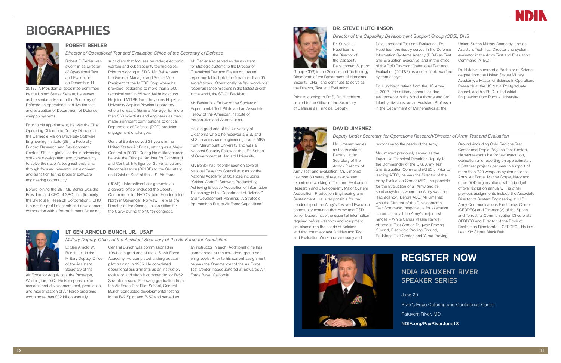### LT GEN ARNOLD BUNCH, JR., USAF

*Military Deputy, Office of the Assistant Secretary of the Air Force for Acquisition* 

Lt Gen Arnold W. Bunch, Jr., is the of the Assistant Secretary of the

Air Force for Acquisition, the Pentagon, Washington, D.C. He is responsible for research and development, test, production, and modernization of Air Force programs worth more than \$32 billion annually.

Military Deputy, Office Academy. He completed undergraduate General Bunch was commissioned in 1984 as a graduate of the U.S. Air Force pilot training in 1985. He completed operational assignments as an instructor, evaluator and aircraft commander for B-52 Stratofortresses. Following graduation from the Air Force Test Pilot School, General Bunch conducted developmental testing in the B-2 Spirit and B-52 and served as

an instructor in each. Additionally, he has commanded at the squadron, group and wing levels. Prior to his current assignment, he was the Commander of the Air Force Test Center, headquartered at Edwards Air Force Base, California.



# <span id="page-5-0"></span>**BIOGRAPHIES**



### ROBERT BEHLER

Robert F. Behler was sworn in as Director of Operational Test and Evaluation on December 11,

2017. A Presidential appointee confirmed by the United States Senate, he serves as the senior advisor to the Secretary of Defense on operational and live fire test and evaluation of Department of Defense weapon systems.

*Director of Operational Test and Evaluation Office of the Secretary of Defense* subsidiary that focuses on radar, electronic

Prior to his appointment, he was the Chief Operating Officer and Deputy Director of the Carnegie Mellon University Software Engineering Institute (SEI), a Federally Funded Research and Development Center. SEI is a global leader in advancing software development and cybersecurity to solve the nation's toughest problems through focused research, development, and transition to the broader software engineering community.

Before joining the SEI, Mr. Behler was the President and CEO of SRC, Inc. (formerly the Syracuse Research Corporation). SRC is a not-for-profit research and development corporation with a for-profit manufacturing

warfare and cybersecurity technologies. Prior to working at SRC, Mr. Behler was the General Manager and Senior Vice President of the MITRE Corp where he provided leadership to more than 2,500 technical staff in 65 worldwide locations. He joined MITRE from the Johns Hopkins University Applied Physics Laboratory where he was a General Manager for more than 350 scientists and engineers as they made significant contributions to critical Department of Defense (DOD) precision engagement challenges.

General Behler served 31 years in the United States Air Force, retiring as a Major General in 2003. During his military career, he was the Principal Adviser for Command and Control, Intelligence, Surveillance and Reconnaissance (C21SR) to the Secretary and Chief of Staff of the U.S. Air Force

(USAF). International assignments as a general officer included the Deputy Commander for NATO's Joint Headquarters North in Stavanger, Norway. He was the Director of the Senate Liaison Office for the USAF during the 104th congress.

Mr. Behler also served as the assistant for strategic systems to the Director of Operational Test and Evaluation. As an experimental test pilot, he flew more than 65 aircraft types. Operationally he flew worldwide reconnaissance missions in the fastest aircraft in the world, the SR-71 Blackbird.

Mr. Behler is a Fellow of the Society of Experimental Test Pilots and an Associate Fellow of the American Institute of Aeronautics and Astronautics.

He is a graduate of the University of Oklahoma where he received a B.S. and M.S. in aerospace engineering, has a MBA from Marymount University and was a National Security Fellow at the JFK School of Government at Harvard University.

Mr. Behler has recently been on several National Research Council studies for the National Academy of Sciences including: "Critical Code," "Software Producibility, Achieving Effective Acquisition of Information Technology in the Department of Defense" and "Development Planning: A Strategic Approach to Future Air Force Capabilities."



DR. STEVE HUTCHINSON





### *Director of the Capability Development Support Group (CDS), DHS*

Dr. Steven J. Hutchison is the Director of

the Capability Development Support Group (CDS) in the Science and Technology Directorate of the Department of Homeland Security (DHS), and continues to serve as

the Director, Test and Evaluation.

Prior to coming to DHS, Dr. Hutchison served in the Office of the Secretary of Defense as Principal Deputy,

Developmental Test and Evaluation. Dr. Hutchison previously served in the Defense Information Systems Agency (DISA) as Test and Evaluation Executive, and in the office of the DoD Director, Operational Test and Evaluation (DOT&E) as a net-centric warfare



Dr. Hutchison retired from the US Army in 2002. His military career included assignments in the 82nd Airborne and 3rd Infantry divisions, as an Assistant Professor in the Department of Mathematics at the

United States Military Academy, and as Assistant Technical Director and system evaluator in the Army Test and Evaluation Command (ATEC).

Dr. Hutchison earned a Bachelor of Science degree from the United States Military Academy, a Master of Science in Operations Research at the US Naval Postgraduate School, and his Ph.D. in Industrial Engineering from Purdue University.

### DAVID JIMENEZ

### *Deputy Under Secretary for Operations Research/Director of Army Test and Evaluation*

Mr. Jimenez serves as the Assistant Deputy Under Secretary of the Army / Director of

Army Test and Evaluation. Mr. Jimenez has over 30 years of results-oriented experience working in Test and Evaluation, Research and Development, Major System Acquisition, Production Engineering and Sustainment. He is responsible for the Leadership of the Army's Test and Evalution community ensuring that Army and OSD senior leaders have the essential information required before weapons and equipment are placed into the hands of Soldiers and that the major test facilities and Test and Evaluation Workforce are ready and

responsive to the needs of the Army.

Mr Jimenez previously served as the Executive Technical Director / Deputy to the Commander of the U.S. Army Test and Evaluation Command (ATEC). Prior to leading ATEC, he was the Director of the Army Evaluation Center (AEC), responsible for the Evaluation of all Army and triservice systems where the Army was the lead agency. Before AEC, Mr Jimenez was the Director of the Developmental Test Command, responsible for executive leadership of all the Army's major test ranges – White Sands Missile Range, Aberdeen Test Center, Dugway Proving Ground, Electronic Proving Ground, Redstone Test Center, and Yuma Proving



Ground (including Cold Regions Test Center and Tropic Regions Test Center). He was responsible for test execution, evaluation and reporting on approximately 3,500 test projects per year in support of more than 740 weapons systems for the Army, Air Force, Marine Corps, Navy and other DOD organizations with a budget of over \$2 billion annually. His other previous assignments include the Associate Director of System Engineering at U.S. Army Communications Electronics Center (CERDEC) and Director (A) of the Space and Terrestrial Communication Directorate CERDEC and Director of the Product Realization Directorate – CERDEC. He is a Lean Six Sigma Black Belt.

# REGISTER NOW

NDIA PATUXENT RIVER SPEAKER SERIES

June 20

River's Edge Catering and Conference Center

Patuxent River, MD

NDIA.org/PaxRiverJune18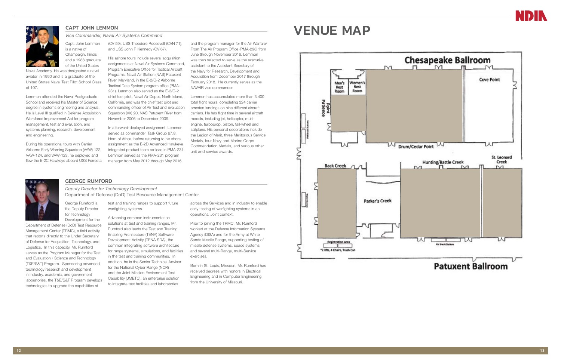### GEORGE RUMFORD

*Deputy Director for Technology Development*  Department of Defense (DoD) Test Resource Management Center

George Rumford is the Deputy Director for Technology Development for the

Department of Defense (DoD) Test Resource Management Center (TRMC), a field activity that reports directly to the Under Secretary of Defense for Acquisition, Technology, and Logistics. In this capacity, Mr. Rumford serves as the Program Manager for the Test and Evaluation / Science and Technology (T&E/S&T) Program. Sponsoring advanced technology research and development in industry, academia, and government laboratories, the T&E/S&T Program develops technologies to upgrade the capabilities at

test and training ranges to support future warfighting systems.

Advancing common instrumentation solutions at test and training ranges, Mr. Rumford also leads the Test and Training Enabling Architecture (TENA) Software Development Activity (TENA SDA), the common integrating software architecture for range systems, simulations, and facilities in the test and training communities. In addition, he is the Senior Technical Advisor for the National Cyber Range (NCR) and the Joint Mission Environment Test Capability (JMETC), an enterprise solution to integrate test facilities and laboratories

across the Services and in industry to enable early testing of warfighting systems in an operational Joint context.

Prior to joining the TRMC, Mr. Rumford worked at the Defense Information Systems Agency (DISA) and for the Army at White Sands Missile Range, supporting testing of missile defense systems, space systems, and several multi-Range, multi-Service exercises.

Born in St. Louis, Missouri, Mr. Rumford has received degrees with honors in Electrical Engineering and in Computer Engineering from the University of Missouri.



<span id="page-6-0"></span>

*Vice Commander, Naval Air Systems Command* Capt. John Lemmon is a native of Champaign, Illinois and a 1988 graduate of the United States

Naval Academy. He was designated a naval aviator in 1990 and is a graduate of the United States Naval Test Pilot School Class of 107.

Lemmon attended the Naval Postgraduate School and received his Master of Science degree in systems engineering and analysis. He is Level III qualified in Defense Acquisition Workforce Improvement Act for program management, test and evaluation, and systems planning, research, development and engineering.

During his operational tours with Carrier Airborne Early Warning Squadron (VAW) 122, VAW-124, and VAW-123, he deployed and flew the E-2C Hawkeye aboard USS Forrestal

(CV 59), USS Theodore Roosevelt (CVN 71), and USS John F. Kennedy (CV 67).

> His ashore tours include several acquisition assignments at Naval Air Systems Command, Program Executive Office for Tactical Aircraft Programs, Naval Air Station (NAS) Patuxent River, Maryland, in the E-2/C-2 Airborne Tactical Data System program office (PMA-231). Lemmon also served as the E-2/C-2 chief test pilot, Naval Air Depot, North Island, California, and was the chief test pilot and commanding officer of Air Test and Evaluation Squadron (VX) 20, NAS Patuxent River from November 2006 to December 2009.

In a forward-deployed assignment, Lemmon served as commander, Task Group 67.8, Horn of Africa, before returning to his shore assignment as the E-2D Advanced Hawkeye integrated product team co-lead in PMA-231. Lemmon served as the PMA-231 program manager from May 2012 through May 2016

and the program manager for the Air Warfare/

From The Air Program Office (PMA-298) from June through November 2016. Lemmon was then selected to serve as the executive assistant to the Assistant Secretary of the Navy for Research, Development and Acquisition from December 2017 through February 2018. He currently serves as the NAVAIR vice commander.

Lemmon has accumulated more than 3,400 total flight hours, completing 324 carrier arrested landings on nine different aircraft carriers. He has flight time in several aircraft models, including jet, helicopter, multiengine, turboprop, piston, tail-wheel and sailplane. His personal decorations include the Legion of Merit, three Meritorious Service Medals, four Navy and Marine Corps Commendation Medals, and various other unit and service awards.

# CAPT JOHN LEMMON **CAPT JOHN LEMMON**



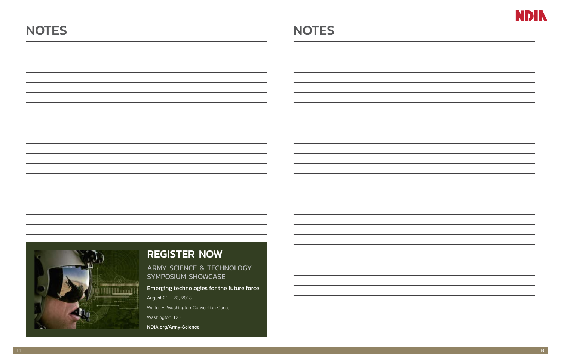| <b>NOTES</b> | <b>NOTES</b> |
|--------------|--------------|
|              |              |
|              |              |
|              |              |
|              |              |
|              |              |
|              |              |
|              |              |
|              |              |



# REGISTER NOW

ARMY SCIENCE & TECHNOLOGY SYMPOSIUM SHOWCASE

## Emerging technologies for the future force

August 21 – 23, 2018 Walter E. Washington Convention Center Washington, DC NDIA.org/Army-Science